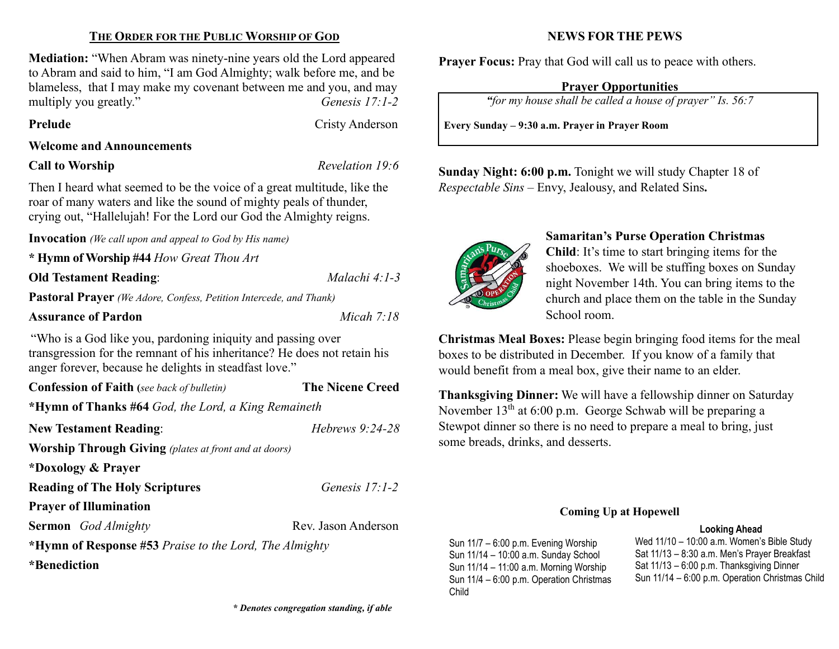### THE ORDER FOR THE PUBLIC WORSHIP OF GOD

Mediation: "When Abram was ninety-nine years old the Lord appeared to Abram and said to him, "I am God Almighty; walk before me, and be blameless, that I may make my covenant between me and you, and may multiply you greatly." Genesis 17:1-2

Prelude Cristy Anderson

#### Welcome and Announcements

#### Call to Worship Revelation 19:6

Then I heard what seemed to be the voice of a great multitude, like the roar of many waters and like the sound of mighty peals of thunder, crying out, "Hallelujah! For the Lord our God the Almighty reigns.

Invocation (We call upon and appeal to God by His name)

\* Hymn of Worship #44 How Great Thou Art

**Old Testament Reading:** Malachi 4:1-3

Pastoral Prayer (We Adore, Confess, Petition Intercede, and Thank)

#### Assurance of Pardon Micah 7:18

"Who is a God like you, pardoning iniquity and passing over transgression for the remnant of his inheritance? He does not retain his anger forever, because he delights in steadfast love."

| <b>Confession of Faith</b> (see back of bulletin)                     | <b>The Nicene Creed</b> |  |  |  |  |
|-----------------------------------------------------------------------|-------------------------|--|--|--|--|
| *Hymn of Thanks #64 God, the Lord, a King Remaineth                   |                         |  |  |  |  |
| <b>New Testament Reading:</b>                                         | Hebrews $9:24-28$       |  |  |  |  |
| <b>Worship Through Giving</b> (plates at front and at doors)          |                         |  |  |  |  |
| *Doxology & Prayer                                                    |                         |  |  |  |  |
| <b>Reading of The Holy Scriptures</b>                                 | Genesis $17:1-2$        |  |  |  |  |
| <b>Prayer of Illumination</b>                                         |                         |  |  |  |  |
| <b>Sermon</b> God Almighty                                            | Rev. Jason Anderson     |  |  |  |  |
| * <b>Hymn of Response</b> #53 <i>Praise to the Lord, The Almighty</i> |                         |  |  |  |  |

\*Benediction

#### NEWS FOR THE PEWS

Prayer Focus: Pray that God will call us to peace with others.

#### Prayer Opportunities

"for my house shall be called a house of prayer" Is. 56:7

Every Sunday – 9:30 a.m. Prayer in Prayer Room

Sunday Night: 6:00 p.m. Tonight we will study Chapter 18 of Respectable Sins – Envy, Jealousy, and Related Sins.



#### Samaritan's Purse Operation Christmas

Child: It's time to start bringing items for the shoeboxes. We will be stuffing boxes on Sunday night November 14th. You can bring items to the church and place them on the table in the Sunday School room.

Christmas Meal Boxes: Please begin bringing food items for the meal boxes to be distributed in December. If you know of a family that would benefit from a meal box, give their name to an elder.

Thanksgiving Dinner: We will have a fellowship dinner on Saturday November  $13<sup>th</sup>$  at 6:00 p.m. George Schwab will be preparing a Stewpot dinner so there is no need to prepare a meal to bring, just some breads, drinks, and desserts.

#### Coming Up at Hopewell

#### Looking Ahead

Sun 11/7 – 6:00 p.m. Evening Worship Sun 11/14 – 10:00 a.m. Sunday School Sun 11/14 – 11:00 a.m. Morning Worship Sun 11/4 – 6:00 p.m. Operation Christmas Child

Wed 11/10 – 10:00 a.m. Women's Bible Study Sat 11/13 – 8:30 a.m. Men's Prayer Breakfast Sat 11/13 – 6:00 p.m. Thanksgiving Dinner Sun 11/14 – 6:00 p.m. Operation Christmas Child